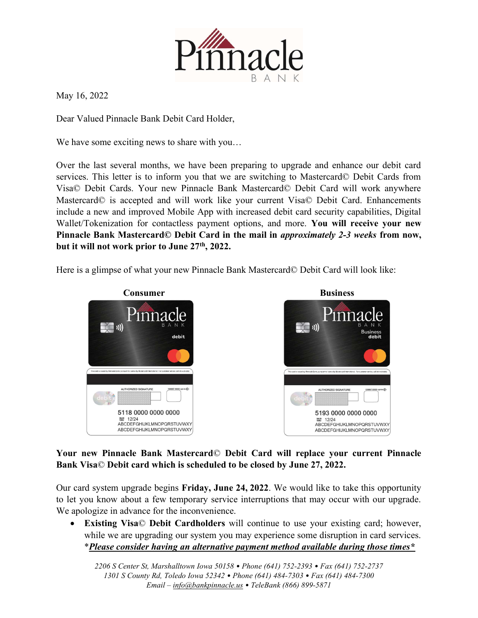

May 16, 2022

Dear Valued Pinnacle Bank Debit Card Holder,

We have some exciting news to share with you...

Over the last several months, we have been preparing to upgrade and enhance our debit card services. This letter is to inform you that we are switching to Mastercard© Debit Cards from Visa© Debit Cards. Your new Pinnacle Bank Mastercard© Debit Card will work anywhere Mastercard© is accepted and will work like your current Visa© Debit Card. Enhancements include a new and improved Mobile App with increased debit card security capabilities, Digital Wallet/Tokenization for contactless payment options, and more. You will receive your new Pinnacle Bank Mastercard© Debit Card in the mail in approximately 2-3 weeks from now, but it will not work prior to June 27<sup>th</sup>, 2022.

Here is a glimpse of what your new Pinnacle Bank Mastercard© Debit Card will look like:



## Your new Pinnacle Bank Mastercard© Debit Card will replace your current Pinnacle Bank Visa© Debit card which is scheduled to be closed by June 27, 2022.

Our card system upgrade begins Friday, June 24, 2022. We would like to take this opportunity to let you know about a few temporary service interruptions that may occur with our upgrade. We apologize in advance for the inconvenience.

 Existing Visa© Debit Cardholders will continue to use your existing card; however, while we are upgrading our system you may experience some disruption in card services. \*Please consider having an alternative payment method available during those times\*